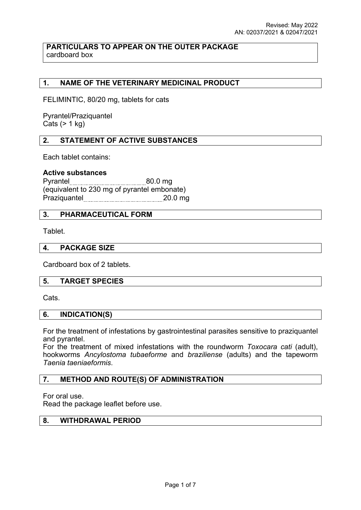## **PARTICULARS TO APPEAR ON THE OUTER PACKAGE** cardboard box

# **1. NAME OF THE VETERINARY MEDICINAL PRODUCT**

FELIMINTIC, 80/20 mg, tablets for cats

Pyrantel/Praziquantel Cats  $(> 1$  kg)

## **2. STATEMENT OF ACTIVE SUBSTANCES**

Each tablet contains:

### **Active substances**

Pyrantel 80.0 mg (equivalent to 230 mg of pyrantel embonate) Praziquantel 20.0 mg

### **3. PHARMACEUTICAL FORM**

Tablet.

#### **4. PACKAGE SIZE**

Cardboard box of 2 tablets.

#### **5. TARGET SPECIES**

Cats.

#### **6. INDICATION(S)**

For the treatment of infestations by gastrointestinal parasites sensitive to praziquantel and pyrantel.

For the treatment of mixed infestations with the roundworm *Toxocara cati* (adult), hookworms *Ancylostoma tubaeforme* and *braziliense* (adults) and the tapeworm *Taenia taeniaeformis*.

### **7. METHOD AND ROUTE(S) OF ADMINISTRATION**

For oral use.

Read the package leaflet before use.

## **8. WITHDRAWAL PERIOD**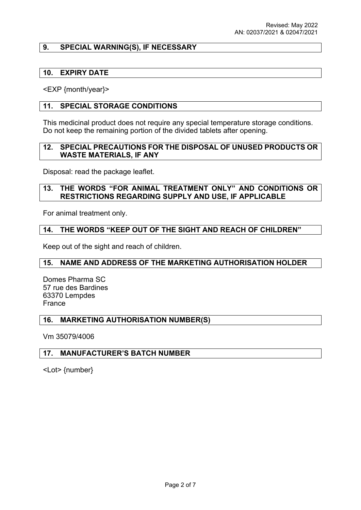## **9. SPECIAL WARNING(S), IF NECESSARY**

### **10. EXPIRY DATE**

<EXP {month/year}>

## **11. SPECIAL STORAGE CONDITIONS**

This medicinal product does not require any special temperature storage conditions. Do not keep the remaining portion of the divided tablets after opening.

### **12. SPECIAL PRECAUTIONS FOR THE DISPOSAL OF UNUSED PRODUCTS OR WASTE MATERIALS, IF ANY**

Disposal: read the package leaflet.

### **13. THE WORDS "FOR ANIMAL TREATMENT ONLY" AND CONDITIONS OR RESTRICTIONS REGARDING SUPPLY AND USE, IF APPLICABLE**

For animal treatment only.

## **14. THE WORDS "KEEP OUT OF THE SIGHT AND REACH OF CHILDREN"**

Keep out of the sight and reach of children.

### **15. NAME AND ADDRESS OF THE MARKETING AUTHORISATION HOLDER**

Domes Pharma SC 57 rue des Bardines 63370 Lempdes France

### **16. MARKETING AUTHORISATION NUMBER(S)**

Vm 35079/4006

### **17. MANUFACTURER'S BATCH NUMBER**

<Lot> {number}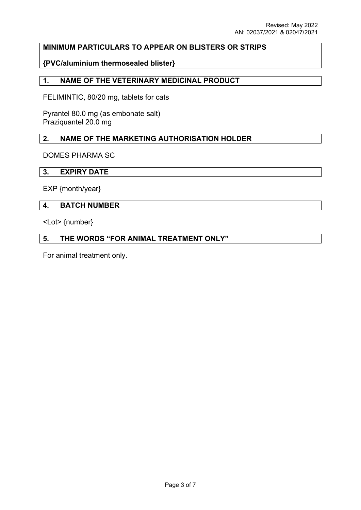# **MINIMUM PARTICULARS TO APPEAR ON BLISTERS OR STRIPS**

## **{PVC/aluminium thermosealed blister}**

### **1. NAME OF THE VETERINARY MEDICINAL PRODUCT**

FELIMINTIC, 80/20 mg, tablets for cats

Pyrantel 80.0 mg (as embonate salt) Praziquantel 20.0 mg

## **2. NAME OF THE MARKETING AUTHORISATION HOLDER**

DOMES PHARMA SC

### **3. EXPIRY DATE**

EXP {month/year}

### **4. BATCH NUMBER**

<Lot> {number}

# **5. THE WORDS "FOR ANIMAL TREATMENT ONLY"**

For animal treatment only.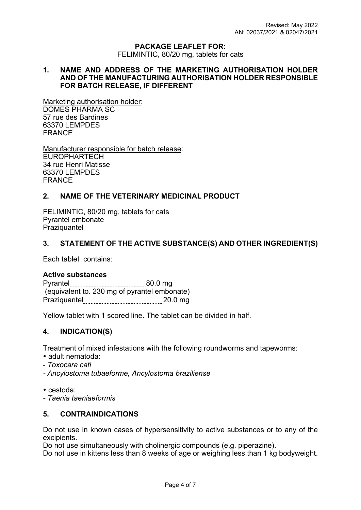#### **PACKAGE LEAFLET FOR:**

FELIMINTIC, 80/20 mg, tablets for cats

### **1. NAME AND ADDRESS OF THE MARKETING AUTHORISATION HOLDER AND OF THE MANUFACTURING AUTHORISATION HOLDER RESPONSIBLE FOR BATCH RELEASE, IF DIFFERENT**

Marketing authorisation holder: DOMES PHARMA SC 57 rue des Bardines 63370 LEMPDES FRANCE

Manufacturer responsible for batch release: EUROPHARTECH 34 rue Henri Matisse 63370 LEMPDES FRANCE

## **2. NAME OF THE VETERINARY MEDICINAL PRODUCT**

FELIMINTIC, 80/20 mg, tablets for cats Pyrantel embonate **Praziquantel** 

### **3. STATEMENT OF THE ACTIVE SUBSTANCE(S) AND OTHER INGREDIENT(S)**

Each tablet contains:

### **Active substances**

| Pyrantel                                     | 80.0 <sub>ma</sub> |
|----------------------------------------------|--------------------|
| (equivalent to. 230 mg of pyrantel embonate) |                    |
| Praziquantel                                 | 20.0 <sub>ma</sub> |

Yellow tablet with 1 scored line. The tablet can be divided in half.

### **4. INDICATION(S)**

Treatment of mixed infestations with the following roundworms and tapeworms:

- adult nematoda:
- *Toxocara cati*
- *Ancylostoma tubaeforme, Ancylostoma braziliense*
- cestoda:
- *Taenia taeniaeformis*

### **5. CONTRAINDICATIONS**

Do not use in known cases of hypersensitivity to active substances or to any of the excipients.

Do not use simultaneously with cholinergic compounds (e.g. piperazine).

Do not use in kittens less than 8 weeks of age or weighing less than 1 kg bodyweight.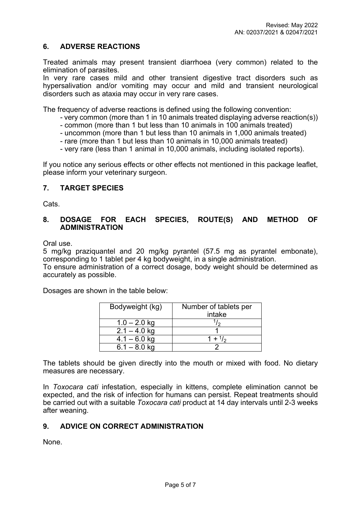# **6. ADVERSE REACTIONS**

Treated animals may present transient diarrhoea (very common) related to the elimination of parasites.

In very rare cases mild and other transient digestive tract disorders such as hypersalivation and/or vomiting may occur and mild and transient neurological disorders such as ataxia may occur in very rare cases.

The frequency of adverse reactions is defined using the following convention:

- very common (more than 1 in 10 animals treated displaying adverse reaction(s))
- common (more than 1 but less than 10 animals in 100 animals treated)
- uncommon (more than 1 but less than 10 animals in 1,000 animals treated)
- rare (more than 1 but less than 10 animals in 10,000 animals treated)
- very rare (less than 1 animal in 10,000 animals, including isolated reports).

If you notice any serious effects or other effects not mentioned in this package leaflet, please inform your veterinary surgeon.

## **7. TARGET SPECIES**

Cats.

## **8. DOSAGE FOR EACH SPECIES, ROUTE(S) AND METHOD OF ADMINISTRATION**

Oral use.

5 mg/kg praziquantel and 20 mg/kg pyrantel (57.5 mg as pyrantel embonate), corresponding to 1 tablet per 4 kg bodyweight, in a single administration.

To ensure administration of a correct dosage, body weight should be determined as accurately as possible.

Dosages are shown in the table below:

| Bodyweight (kg) | Number of tablets per<br>intake |
|-----------------|---------------------------------|
|                 |                                 |
| $1.0 - 2.0$ kg  |                                 |
| $2.1 - 4.0$ kg  |                                 |
| $4.1 - 6.0$ kg  | $+$ <sup>1</sup> / <sub>2</sub> |
| $6.1 - 8.0$ kg  |                                 |

The tablets should be given directly into the mouth or mixed with food. No dietary measures are necessary.

In *Toxocara cati* infestation, especially in kittens, complete elimination cannot be expected, and the risk of infection for humans can persist. Repeat treatments should be carried out with a suitable *Toxocara cati* product at 14 day intervals until 2-3 weeks after weaning.

# **9. ADVICE ON CORRECT ADMINISTRATION**

None.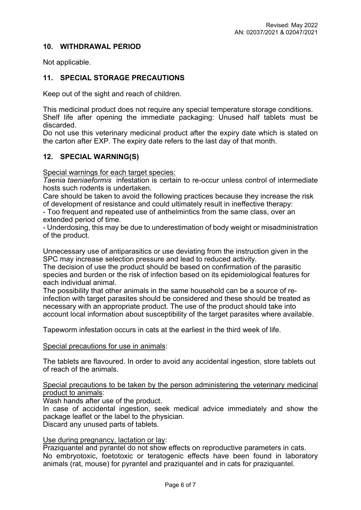## **10. WITHDRAWAL PERIOD**

Not applicable.

# **11. SPECIAL STORAGE PRECAUTIONS**

Keep out of the sight and reach of children.

This medicinal product does not require any special temperature storage conditions. Shelf life after opening the immediate packaging: Unused half tablets must be discarded.

Do not use this veterinary medicinal product after the expiry date which is stated on the carton after EXP. The expiry date refers to the last day of that month.

### **12. SPECIAL WARNING(S)**

Special warnings for each target species:

*Taenia taeniaeformis* infestation is certain to re-occur unless control of intermediate hosts such rodents is undertaken.

Care should be taken to avoid the following practices because they increase the risk of development of resistance and could ultimately result in ineffective therapy:

- Too frequent and repeated use of anthelmintics from the same class, over an extended period of time.

- Underdosing, this may be due to underestimation of body weight or misadministration of the product.

Unnecessary use of antiparasitics or use deviating from the instruction given in the SPC may increase selection pressure and lead to reduced activity.

The decision of use the product should be based on confirmation of the parasitic species and burden or the risk of infection based on its epidemiological features for each individual animal.

The possibility that other animals in the same household can be a source of reinfection with target parasites should be considered and these should be treated as necessary with an appropriate product. The use of the product should take into account local information about susceptibility of the target parasites where available.

Tapeworm infestation occurs in cats at the earliest in the third week of life.

#### Special precautions for use in animals:

The tablets are flavoured. In order to avoid any accidental ingestion, store tablets out of reach of the animals.

### Special precautions to be taken by the person administering the veterinary medicinal product to animals:

Wash hands after use of the product.

In case of accidental ingestion, seek medical advice immediately and show the package leaflet or the label to the physician.

Discard any unused parts of tablets.

## Use during pregnancy, lactation or lay:

Praziquantel and pyrantel do not show effects on reproductive parameters in cats. No embryotoxic, foetotoxic or teratogenic effects have been found in laboratory animals (rat, mouse) for pyrantel and praziquantel and in cats for praziquantel.